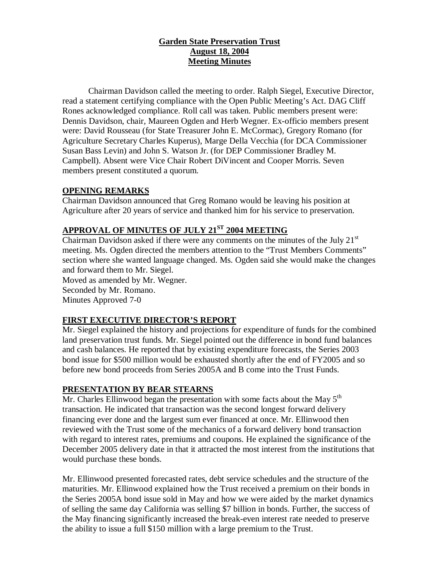## **Garden State Preservation Trust August 18, 2004 Meeting Minutes**

Chairman Davidson called the meeting to order. Ralph Siegel, Executive Director, read a statement certifying compliance with the Open Public Meeting's Act. DAG Cliff Rones acknowledged compliance. Roll call was taken. Public members present were: Dennis Davidson, chair, Maureen Ogden and Herb Wegner. Ex-officio members present were: David Rousseau (for State Treasurer John E. McCormac), Gregory Romano (for Agriculture Secretary Charles Kuperus), Marge Della Vecchia (for DCA Commissioner Susan Bass Levin) and John S. Watson Jr. (for DEP Commissioner Bradley M. Campbell). Absent were Vice Chair Robert DiVincent and Cooper Morris. Seven members present constituted a quorum.

## **OPENING REMARKS**

Chairman Davidson announced that Greg Romano would be leaving his position at Agriculture after 20 years of service and thanked him for his service to preservation.

## **APPROVAL OF MINUTES OF JULY 21ST 2004 MEETING**

Chairman Davidson asked if there were any comments on the minutes of the July  $21<sup>st</sup>$ meeting. Ms. Ogden directed the members attention to the "Trust Members Comments" section where she wanted language changed. Ms. Ogden said she would make the changes and forward them to Mr. Siegel.

Moved as amended by Mr. Wegner. Seconded by Mr. Romano. Minutes Approved 7-0

# **FIRST EXECUTIVE DIRECTOR'S REPORT**

Mr. Siegel explained the history and projections for expenditure of funds for the combined land preservation trust funds. Mr. Siegel pointed out the difference in bond fund balances and cash balances. He reported that by existing expenditure forecasts, the Series 2003 bond issue for \$500 million would be exhausted shortly after the end of FY2005 and so before new bond proceeds from Series 2005A and B come into the Trust Funds.

## **PRESENTATION BY BEAR STEARNS**

Mr. Charles Ellinwood began the presentation with some facts about the May  $5<sup>th</sup>$ transaction. He indicated that transaction was the second longest forward delivery financing ever done and the largest sum ever financed at once. Mr. Ellinwood then reviewed with the Trust some of the mechanics of a forward delivery bond transaction with regard to interest rates, premiums and coupons. He explained the significance of the December 2005 delivery date in that it attracted the most interest from the institutions that would purchase these bonds.

Mr. Ellinwood presented forecasted rates, debt service schedules and the structure of the maturities. Mr. Ellinwood explained how the Trust received a premium on their bonds in the Series 2005A bond issue sold in May and how we were aided by the market dynamics of selling the same day California was selling \$7 billion in bonds. Further, the success of the May financing significantly increased the break-even interest rate needed to preserve the ability to issue a full \$150 million with a large premium to the Trust.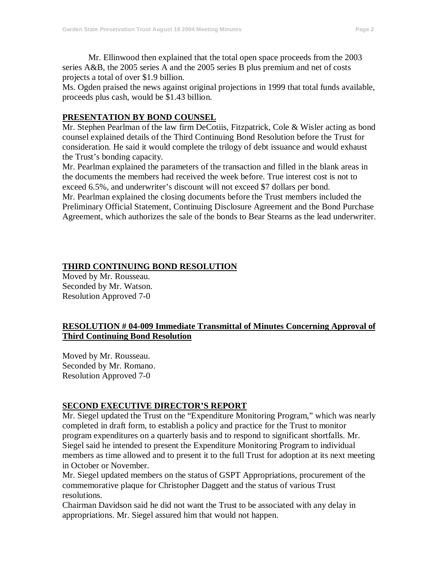Mr. Ellinwood then explained that the total open space proceeds from the 2003 series A&B, the 2005 series A and the 2005 series B plus premium and net of costs projects a total of over \$1.9 billion.

Ms. Ogden praised the news against original projections in 1999 that total funds available, proceeds plus cash, would be \$1.43 billion.

#### **PRESENTATION BY BOND COUNSEL**

Mr. Stephen Pearlman of the law firm DeCotiis, Fitzpatrick, Cole & Wisler acting as bond counsel explained details of the Third Continuing Bond Resolution before the Trust for consideration. He said it would complete the trilogy of debt issuance and would exhaust the Trust's bonding capacity.

Mr. Pearlman explained the parameters of the transaction and filled in the blank areas in the documents the members had received the week before. True interest cost is not to exceed 6.5%, and underwriter's discount will not exceed \$7 dollars per bond.

Mr. Pearlman explained the closing documents before the Trust members included the Preliminary Official Statement, Continuing Disclosure Agreement and the Bond Purchase Agreement, which authorizes the sale of the bonds to Bear Stearns as the lead underwriter.

#### **THIRD CONTINUING BOND RESOLUTION**

Moved by Mr. Rousseau. Seconded by Mr. Watson. Resolution Approved 7-0

### **RESOLUTION # 04-009 Immediate Transmittal of Minutes Concerning Approval of Third Continuing Bond Resolution**

Moved by Mr. Rousseau. Seconded by Mr. Romano. Resolution Approved 7-0

## **SECOND EXECUTIVE DIRECTOR'S REPORT**

Mr. Siegel updated the Trust on the "Expenditure Monitoring Program," which was nearly completed in draft form, to establish a policy and practice for the Trust to monitor program expenditures on a quarterly basis and to respond to significant shortfalls. Mr. Siegel said he intended to present the Expenditure Monitoring Program to individual members as time allowed and to present it to the full Trust for adoption at its next meeting in October or November.

Mr. Siegel updated members on the status of GSPT Appropriations, procurement of the commemorative plaque for Christopher Daggett and the status of various Trust resolutions.

Chairman Davidson said he did not want the Trust to be associated with any delay in appropriations. Mr. Siegel assured him that would not happen.